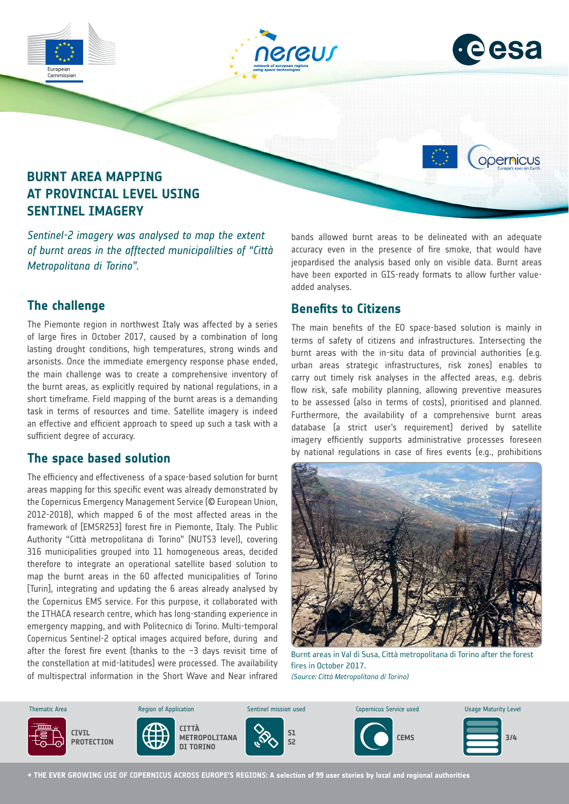

*of burnt areas in the afftected municipalilties of "Città Metropolitana di Torino".*

## **The challenge**

The Piemonte region in northwest Italy was affected by a series of large fires in October 2017, caused by a combination of long lasting drought conditions, high temperatures, strong winds and arsonists. Once the immediate emergency response phase ended, the main challenge was to create a comprehensive inventory of the burnt areas, as explicitly required by national regulations, in a short timeframe. Field mapping of the burnt areas is a demanding task in terms of resources and time. Satellite imagery is indeed an effective and efficient approach to speed up such a task with a sufficient degree of accuracy.

#### **The space based solution**

The efficiency and effectiveness of a space-based solution for burnt areas mapping for this specific event was already demonstrated by the Copernicus Emergency Management Service (© European Union, 2012-2018), which mapped 6 of the most affected areas in the framework of [EMSR253] forest fire in Piemonte, Italy. The Public Authority "Città metropolitana di Torino" (NUTS3 level), covering 316 municipalities grouped into 11 homogeneous areas, decided therefore to integrate an operational satellite based solution to map the burnt areas in the 60 affected municipalities of Torino [Turin], integrating and updating the 6 areas already analysed by the Copernicus EMS service. For this purpose, it collaborated with the ITHACA research centre, which has long-standing experience in emergency mapping, and with Politecnico di Torino. Multi-temporal Copernicus Sentinel-2 optical images acquired before, during and after the forest fire event (thanks to the  $-3$  days revisit time of the constellation at mid-latitudes) were processed. The availability of multispectral information in the Short Wave and Near infrared bands allowed burnt areas to be delineated with an adequate accuracy even in the presence of fire smoke, that would have jeopardised the analysis based only on visible data. Burnt areas have been exported in GIS-ready formats to allow further valueadded analyses.

# **Benefits to Citizens**

The main benefits of the EO space-based solution is mainly in terms of safety of citizens and infrastructures. Intersecting the burnt areas with the in-situ data of provincial authorities (e.g. urban areas strategic infrastructures, risk zones) enables to carry out timely risk analyses in the affected areas, e.g. debris flow risk, safe mobility planning, allowing preventive measures to be assessed (also in terms of costs), prioritised and planned. Furthermore, the availability of a comprehensive burnt areas database (a strict user's requirement) derived by satellite imagery efficiently supports administrative processes foreseen by national regulations in case of fires events (e.g., prohibitions



Burnt areas in Val di Susa, Città metropolitana di Torino after the forest fires in October 2017. *(Source: Città Metropolitana di Torino)*



**→ THE EVER GROWING USE OF COPERNICUS ACROSS EUROPE'S REGIONS: A selection of 99 user stories by local and regional authorities**